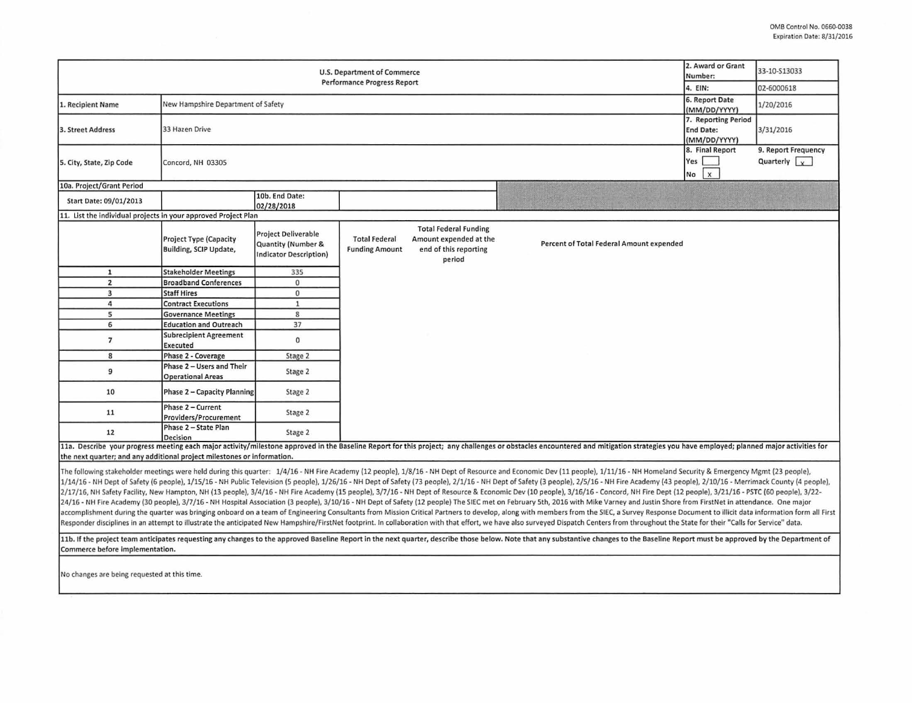| 2. Award or Grant<br>U.S. Department of Commerce<br>Number:<br>Performance Progress Report                                                                                                                                                                                                                                                                                                                                                                                                                                                                                                                                                                                                                                                                                                                                                                                                                                                                                                                                                                                                                                                                                                                                                                                                                                                                                                              |                                                         |                                                                                   |                                               |                                                                                           |                                                                                                                                                                                                                                |                                                                         | 33-10-S13033<br>02-6000618                           |
|---------------------------------------------------------------------------------------------------------------------------------------------------------------------------------------------------------------------------------------------------------------------------------------------------------------------------------------------------------------------------------------------------------------------------------------------------------------------------------------------------------------------------------------------------------------------------------------------------------------------------------------------------------------------------------------------------------------------------------------------------------------------------------------------------------------------------------------------------------------------------------------------------------------------------------------------------------------------------------------------------------------------------------------------------------------------------------------------------------------------------------------------------------------------------------------------------------------------------------------------------------------------------------------------------------------------------------------------------------------------------------------------------------|---------------------------------------------------------|-----------------------------------------------------------------------------------|-----------------------------------------------|-------------------------------------------------------------------------------------------|--------------------------------------------------------------------------------------------------------------------------------------------------------------------------------------------------------------------------------|-------------------------------------------------------------------------|------------------------------------------------------|
| 1. Recipient Name                                                                                                                                                                                                                                                                                                                                                                                                                                                                                                                                                                                                                                                                                                                                                                                                                                                                                                                                                                                                                                                                                                                                                                                                                                                                                                                                                                                       | New Hampshire Department of Safety                      | 4. EIN:<br>6. Report Date                                                         | 1/20/2016                                     |                                                                                           |                                                                                                                                                                                                                                |                                                                         |                                                      |
| 3. Street Address                                                                                                                                                                                                                                                                                                                                                                                                                                                                                                                                                                                                                                                                                                                                                                                                                                                                                                                                                                                                                                                                                                                                                                                                                                                                                                                                                                                       | 33 Hazen Drive                                          |                                                                                   |                                               |                                                                                           |                                                                                                                                                                                                                                | (MM/DD/YYYY)<br>7. Reporting Period<br><b>End Date:</b><br>(MM/DD/YYYY) | 3/31/2016                                            |
| 5. City, State, Zip Code                                                                                                                                                                                                                                                                                                                                                                                                                                                                                                                                                                                                                                                                                                                                                                                                                                                                                                                                                                                                                                                                                                                                                                                                                                                                                                                                                                                | Concord, NH 03305                                       |                                                                                   |                                               |                                                                                           |                                                                                                                                                                                                                                | 8. Final Report<br>Yes<br>$\mathsf{x}$<br>No                            | 9. Report Frequency<br>Quarterly $\vert \cdot \vert$ |
| 10a. Project/Grant Period                                                                                                                                                                                                                                                                                                                                                                                                                                                                                                                                                                                                                                                                                                                                                                                                                                                                                                                                                                                                                                                                                                                                                                                                                                                                                                                                                                               |                                                         |                                                                                   |                                               |                                                                                           |                                                                                                                                                                                                                                |                                                                         |                                                      |
| Start Date: 09/01/2013                                                                                                                                                                                                                                                                                                                                                                                                                                                                                                                                                                                                                                                                                                                                                                                                                                                                                                                                                                                                                                                                                                                                                                                                                                                                                                                                                                                  |                                                         | 10b. End Date:<br>02/28/2018                                                      |                                               |                                                                                           |                                                                                                                                                                                                                                |                                                                         |                                                      |
| 11. List the individual projects in your approved Project Plan                                                                                                                                                                                                                                                                                                                                                                                                                                                                                                                                                                                                                                                                                                                                                                                                                                                                                                                                                                                                                                                                                                                                                                                                                                                                                                                                          |                                                         |                                                                                   |                                               |                                                                                           |                                                                                                                                                                                                                                |                                                                         |                                                      |
|                                                                                                                                                                                                                                                                                                                                                                                                                                                                                                                                                                                                                                                                                                                                                                                                                                                                                                                                                                                                                                                                                                                                                                                                                                                                                                                                                                                                         | <b>Project Type (Capacity</b><br>Building, SCIP Update, | <b>Project Deliverable</b><br>Quantity (Number &<br><b>Indicator Description)</b> | <b>Total Federal</b><br><b>Funding Amount</b> | <b>Total Federal Funding</b><br>Amount expended at the<br>end of this reporting<br>period | Percent of Total Federal Amount expended                                                                                                                                                                                       |                                                                         |                                                      |
| $\mathbf{1}$                                                                                                                                                                                                                                                                                                                                                                                                                                                                                                                                                                                                                                                                                                                                                                                                                                                                                                                                                                                                                                                                                                                                                                                                                                                                                                                                                                                            | <b>Stakeholder Meetings</b>                             | 335                                                                               |                                               |                                                                                           |                                                                                                                                                                                                                                |                                                                         |                                                      |
| $\overline{2}$                                                                                                                                                                                                                                                                                                                                                                                                                                                                                                                                                                                                                                                                                                                                                                                                                                                                                                                                                                                                                                                                                                                                                                                                                                                                                                                                                                                          | <b>Broadband Conferences</b>                            | $\mathbf 0$                                                                       |                                               |                                                                                           |                                                                                                                                                                                                                                |                                                                         |                                                      |
| $\overline{\mathbf{3}}$                                                                                                                                                                                                                                                                                                                                                                                                                                                                                                                                                                                                                                                                                                                                                                                                                                                                                                                                                                                                                                                                                                                                                                                                                                                                                                                                                                                 | <b>Staff Hires</b>                                      | $\mathbf 0$                                                                       |                                               |                                                                                           |                                                                                                                                                                                                                                |                                                                         |                                                      |
| 4                                                                                                                                                                                                                                                                                                                                                                                                                                                                                                                                                                                                                                                                                                                                                                                                                                                                                                                                                                                                                                                                                                                                                                                                                                                                                                                                                                                                       | <b>Contract Executions</b>                              | $\mathbf{1}$                                                                      |                                               |                                                                                           |                                                                                                                                                                                                                                |                                                                         |                                                      |
| 5                                                                                                                                                                                                                                                                                                                                                                                                                                                                                                                                                                                                                                                                                                                                                                                                                                                                                                                                                                                                                                                                                                                                                                                                                                                                                                                                                                                                       | <b>Governance Meetings</b>                              | 8                                                                                 |                                               |                                                                                           |                                                                                                                                                                                                                                |                                                                         |                                                      |
| 6                                                                                                                                                                                                                                                                                                                                                                                                                                                                                                                                                                                                                                                                                                                                                                                                                                                                                                                                                                                                                                                                                                                                                                                                                                                                                                                                                                                                       | <b>Education and Outreach</b>                           | 37                                                                                |                                               |                                                                                           |                                                                                                                                                                                                                                |                                                                         |                                                      |
| $\overline{7}$                                                                                                                                                                                                                                                                                                                                                                                                                                                                                                                                                                                                                                                                                                                                                                                                                                                                                                                                                                                                                                                                                                                                                                                                                                                                                                                                                                                          | <b>Subrecipient Agreement</b><br>Executed               | $\mathbf 0$                                                                       |                                               |                                                                                           |                                                                                                                                                                                                                                |                                                                         |                                                      |
| 8                                                                                                                                                                                                                                                                                                                                                                                                                                                                                                                                                                                                                                                                                                                                                                                                                                                                                                                                                                                                                                                                                                                                                                                                                                                                                                                                                                                                       | Phase 2 - Coverage                                      | Stage 2                                                                           |                                               |                                                                                           |                                                                                                                                                                                                                                |                                                                         |                                                      |
| 9                                                                                                                                                                                                                                                                                                                                                                                                                                                                                                                                                                                                                                                                                                                                                                                                                                                                                                                                                                                                                                                                                                                                                                                                                                                                                                                                                                                                       | Phase 2 - Users and Their<br><b>Operational Areas</b>   | Stage 2                                                                           |                                               |                                                                                           |                                                                                                                                                                                                                                |                                                                         |                                                      |
| 10                                                                                                                                                                                                                                                                                                                                                                                                                                                                                                                                                                                                                                                                                                                                                                                                                                                                                                                                                                                                                                                                                                                                                                                                                                                                                                                                                                                                      | Phase 2 - Capacity Planning                             | Stage 2                                                                           |                                               |                                                                                           |                                                                                                                                                                                                                                |                                                                         |                                                      |
| 11                                                                                                                                                                                                                                                                                                                                                                                                                                                                                                                                                                                                                                                                                                                                                                                                                                                                                                                                                                                                                                                                                                                                                                                                                                                                                                                                                                                                      | Phase 2 - Current<br>Providers/Procurement              | Stage 2                                                                           |                                               |                                                                                           |                                                                                                                                                                                                                                |                                                                         |                                                      |
| 12                                                                                                                                                                                                                                                                                                                                                                                                                                                                                                                                                                                                                                                                                                                                                                                                                                                                                                                                                                                                                                                                                                                                                                                                                                                                                                                                                                                                      | Phase 2 - State Plan<br>Decision                        | Stage 2                                                                           |                                               |                                                                                           |                                                                                                                                                                                                                                |                                                                         |                                                      |
| the next quarter; and any additional project milestones or information.                                                                                                                                                                                                                                                                                                                                                                                                                                                                                                                                                                                                                                                                                                                                                                                                                                                                                                                                                                                                                                                                                                                                                                                                                                                                                                                                 |                                                         |                                                                                   |                                               |                                                                                           | 11a. Describe your progress meeting each major activity/milestone approved in the Baseline Report for this project; any challenges or obstacles encountered and mitigation strategies you have employed; planned major activit |                                                                         |                                                      |
| The following stakeholder meetings were held during this quarter: 1/4/16 - NH Fire Academy (12 people), 1/8/16 - NH Dept of Resource and Economic Dev (11 people), 1/11/16 - NH Homeland Security & Emergency Mgmt (23 people)<br>1/14/16 - NH Dept of Safety (6 people), 1/15/16 - NH Public Television (5 people), 1/26/16 - NH Dept of Safety (73 people), 2/1/16 - NH Dept of Safety (3 people), 2/5/16 - NH Fire Academy (43 people), 2/1/0/16 - Merrimack<br>2/17/16, NH Safety Facility, New Hampton, NH (13 people), 3/4/16 - NH Fire Academy (15 people), 3/7/16 - NH Dept of Resource & Economic Dev (10 people), 3/16/16 - Concord, NH Fire Dept (12 people), 3/21/16 - PSTC (60 peopl<br>24/16 - NH Fire Academy (30 people), 3/7/16 - NH Hospital Association (3 people), 3/10/16 - NH Dept of Safety (12 people) The SIEC met on February 5th, 2016 with Mike Varney and Justin Shore from FirstNet in attendance. On<br>accomplishment during the quarter was bringing onboard on a team of Engineering Consultants from Mission Critical Partners to develop, along with members from the SIEC, a Survey Response Document to illicit data informatio<br>Responder disciplines in an attempt to illustrate the anticipated New Hampshire/FirstNet footprint. In collaboration with that effort, we have also surveyed Dispatch Centers from throughout the State for their "Calls for S |                                                         |                                                                                   |                                               |                                                                                           |                                                                                                                                                                                                                                |                                                                         |                                                      |
| 11b. If the project team anticipates requesting any changes to the approved Baseline Report in the next quarter, describe those below. Note that any substantive changes to the Baseline Report must be approved by the Depart<br>Commerce before implementation.                                                                                                                                                                                                                                                                                                                                                                                                                                                                                                                                                                                                                                                                                                                                                                                                                                                                                                                                                                                                                                                                                                                                       |                                                         |                                                                                   |                                               |                                                                                           |                                                                                                                                                                                                                                |                                                                         |                                                      |
| No changes are being requested at this time.                                                                                                                                                                                                                                                                                                                                                                                                                                                                                                                                                                                                                                                                                                                                                                                                                                                                                                                                                                                                                                                                                                                                                                                                                                                                                                                                                            |                                                         |                                                                                   |                                               |                                                                                           |                                                                                                                                                                                                                                |                                                                         |                                                      |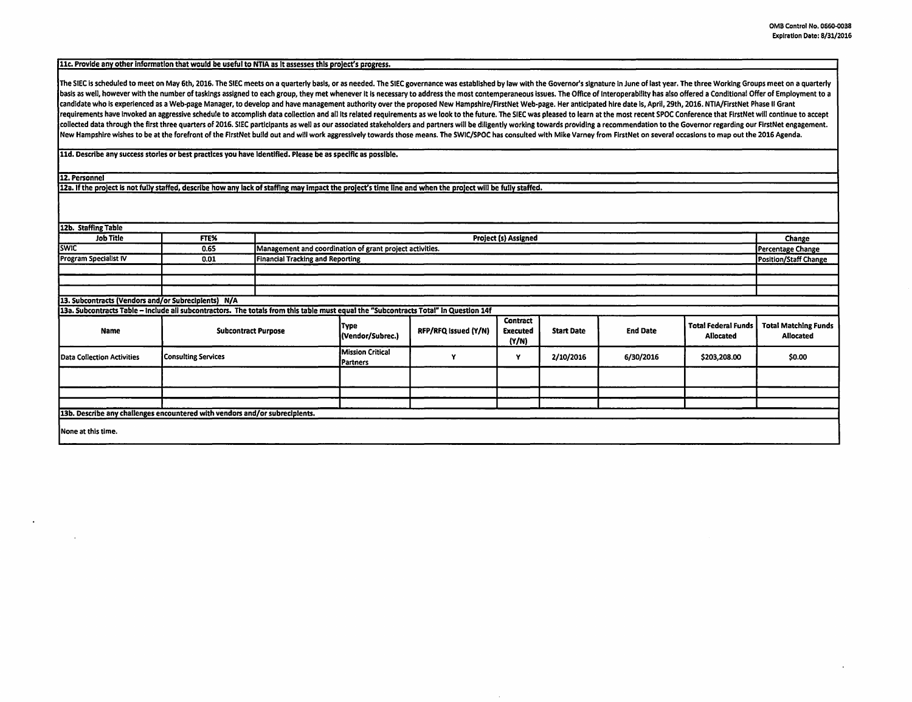## llc. Provide any other information that would be useful to NTIA as It assesses this project's progress.

The SIEC is scheduled to meet on May 6th, 2016. The SIEC meets on a quarterly basis, or as needed. The SIEC governance was established by law with the Governor's signature in June of last year. The three Working Groups mee basis as well, however with the number of taskings assigned to each group, they met whenever it is necessary to address the most contemperaneous issues. The Office of Interoperability has also offered a Conditional Offer o candidate who is experienced as a Web-page Manager, to develop and have management authority over the proposed New Hampshlre/FirstNet Web-page. Her anticipated hire date Is, April, 29th, 2016. NTIA/FirstNet Phase II Grant requirements have invoked an aggressive schedule to accomplish data collection and all its related requirements as we look to the future. The SIEC was pleased to learn at the most recent SPOC Conference that FirstNet will collected data through the first three quarters of 2016. SIEC participants as well as our associated stakeholders and partners will be diligently working towards providing a recommendation to the Governor regarding our Fir New Hampshire wishes to be at the forefront of the FirstNet build out and will work aggressively towards those means. The SWIC/SPOC has consulted with Mike Varney from FirstNet on several occasions to map out the 2016 Agen

lld. Describe any success stories or best practices you have Identified. Please be as specific as possible.

12. Personnel

12a. If the project is not fully staffed, describe how any lack of staffing may impact the project's time line and when the project will be fully staffed.

| 12b. Staffing Table                                                                                                                  |                            |                                                          |                                     |                      |                               |                   |                 |                                         |                                          |
|--------------------------------------------------------------------------------------------------------------------------------------|----------------------------|----------------------------------------------------------|-------------------------------------|----------------------|-------------------------------|-------------------|-----------------|-----------------------------------------|------------------------------------------|
|                                                                                                                                      |                            |                                                          |                                     |                      |                               |                   |                 |                                         |                                          |
| <b>Job Title</b>                                                                                                                     | FTE%                       | <b>Project (s) Assigned</b>                              |                                     |                      |                               |                   |                 |                                         | <b>Change</b>                            |
| <b>SWIC</b>                                                                                                                          | 0.65                       | Management and coordination of grant project activities. |                                     |                      |                               |                   |                 |                                         | Percentage Change                        |
| <b>Program Specialist IV</b>                                                                                                         | 0.01                       | <b>Financial Tracking and Reporting</b>                  |                                     |                      |                               |                   |                 |                                         | <b>Position/Staff Change</b>             |
|                                                                                                                                      |                            |                                                          |                                     |                      |                               |                   |                 |                                         |                                          |
|                                                                                                                                      |                            |                                                          |                                     |                      |                               |                   |                 |                                         |                                          |
|                                                                                                                                      |                            |                                                          |                                     |                      |                               |                   |                 |                                         |                                          |
| 13. Subcontracts (Vendors and/or Subrecipients) N/A                                                                                  |                            |                                                          |                                     |                      |                               |                   |                 |                                         |                                          |
| 13a. Subcontracts Table - Include all subcontractors. The totals from this table must equal the "Subcontracts Total" in Question 14f |                            |                                                          |                                     |                      |                               |                   |                 |                                         |                                          |
| Name                                                                                                                                 | <b>Subcontract Purpose</b> |                                                          | Түре<br>(Vendor/Subrec.)            | RFP/RFQ Issued (Y/N) | Contract<br>Executed<br>(Y/N) | <b>Start Date</b> | <b>End Date</b> | <b>Total Federal Funds</b><br>Allocated | <b>Total Matching Funds</b><br>Allocated |
| <b>Data Collection Activities</b>                                                                                                    | <b>Consulting Services</b> |                                                          | <b>Mission Critical</b><br>Partners |                      | Y                             | 2/10/2016         | 6/30/2016       | \$203,208.00                            | \$0.00                                   |
|                                                                                                                                      |                            |                                                          |                                     |                      |                               |                   |                 |                                         |                                          |
|                                                                                                                                      |                            |                                                          |                                     |                      |                               |                   |                 |                                         |                                          |
|                                                                                                                                      |                            |                                                          |                                     |                      |                               |                   |                 |                                         |                                          |
| 13b. Describe any challenges encountered with vendors and/or subrecipients.                                                          |                            |                                                          |                                     |                      |                               |                   |                 |                                         |                                          |
| None at this time.                                                                                                                   |                            |                                                          |                                     |                      |                               |                   |                 |                                         |                                          |